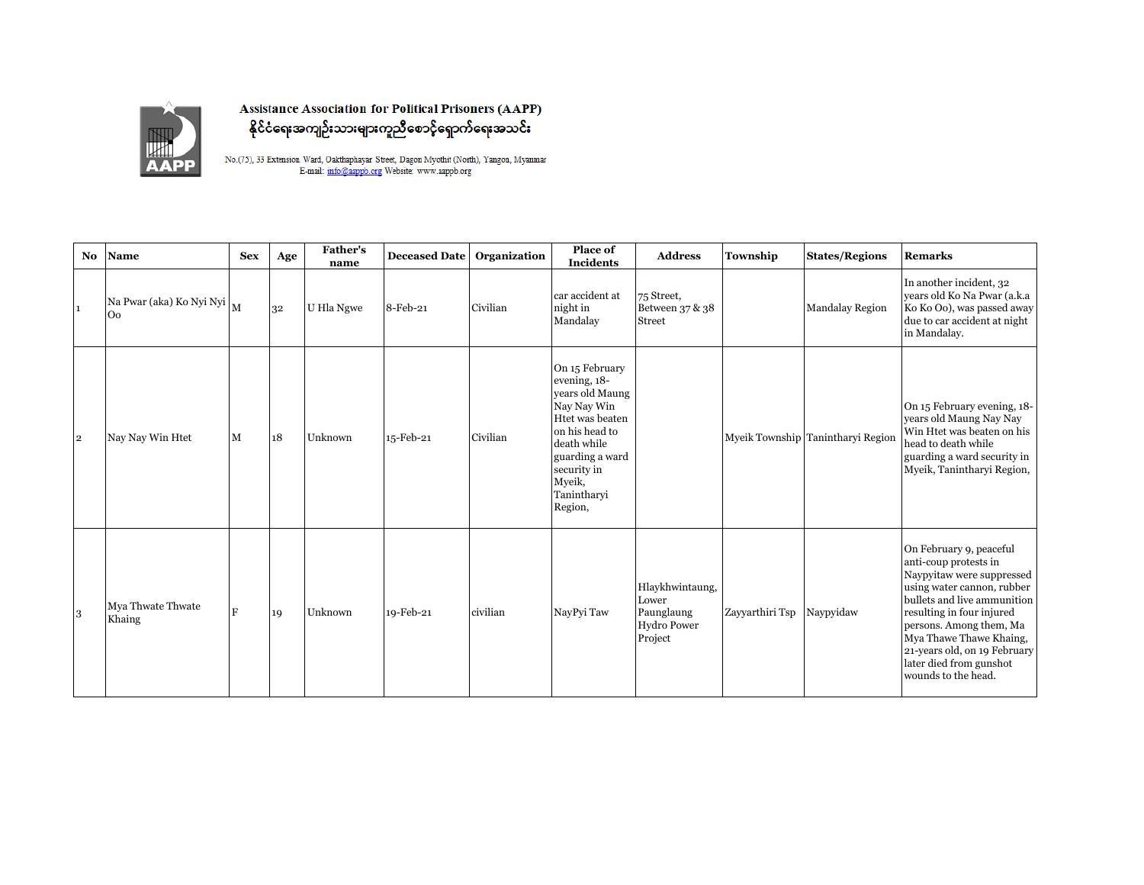

**Assistance Association for Political Prisoners (AAPP)** နိုင်ငံရေးအကျဉ်းသားများကူညီစောင့်ရှောက်ရေးအသင်း

No.(75), 33<br> Extension Ward, Oakthaphayar Street, Dagon Myothit (North), Yangon, Myanmar E-mail:  $\overline{\text{info}$  @aappb.org Website: www.aappb.org

| <b>No</b>      | <b>Name</b>                             | <b>Sex</b> | Age | <b>Father's</b><br>name | <b>Deceased Date</b> | Organization | Place of<br><b>Incidents</b>                                                                                                                                                               | <b>Address</b>                                                          | Township        | <b>States/Regions</b>             | <b>Remarks</b>                                                                                                                                                                                                                                                                                                  |
|----------------|-----------------------------------------|------------|-----|-------------------------|----------------------|--------------|--------------------------------------------------------------------------------------------------------------------------------------------------------------------------------------------|-------------------------------------------------------------------------|-----------------|-----------------------------------|-----------------------------------------------------------------------------------------------------------------------------------------------------------------------------------------------------------------------------------------------------------------------------------------------------------------|
| $\mathbf{1}$   | Na Pwar (aka) Ko Nyi Nyi M<br><b>Oo</b> |            | 32  | U Hla Ngwe              | 8-Feb-21             | Civilian     | car accident at<br>night in<br>Mandalay                                                                                                                                                    | 75 Street,<br>Between 37 & 38<br><b>Street</b>                          |                 | Mandalay Region                   | In another incident, 32<br>years old Ko Na Pwar (a.k.a<br>Ko Ko Oo), was passed away<br>due to car accident at night<br>in Mandalay.                                                                                                                                                                            |
| $\overline{2}$ | Nay Nay Win Htet                        | M          | 18  | Unknown                 | 15-Feb-21            | Civilian     | On 15 February<br>evening, 18-<br>years old Maung<br>Nay Nay Win<br>Htet was beaten<br>on his head to<br>death while<br>guarding a ward<br>security in<br>Myeik,<br>Tanintharyi<br>Region, |                                                                         |                 | Myeik Township Tanintharyi Region | On 15 February evening, 18-<br>years old Maung Nay Nay<br>Win Htet was beaten on his<br>head to death while<br>guarding a ward security in<br>Myeik, Tanintharyi Region,                                                                                                                                        |
| 3              | Mya Thwate Thwate<br>Khaing             |            | 19  | Unknown                 | 19-Feb-21            | civilian     | NayPyi Taw                                                                                                                                                                                 | Hlaykhwintaung,<br>Lower<br>Paunglaung<br><b>Hydro Power</b><br>Project | Zayyarthiri Tsp | Naypyidaw                         | On February 9, peaceful<br>anti-coup protests in<br>Naypyitaw were suppressed<br>using water cannon, rubber<br>bullets and live ammunition<br>resulting in four injured<br>persons. Among them, Ma<br>Mya Thawe Thawe Khaing,<br>21-years old, on 19 February<br>later died from gunshot<br>wounds to the head. |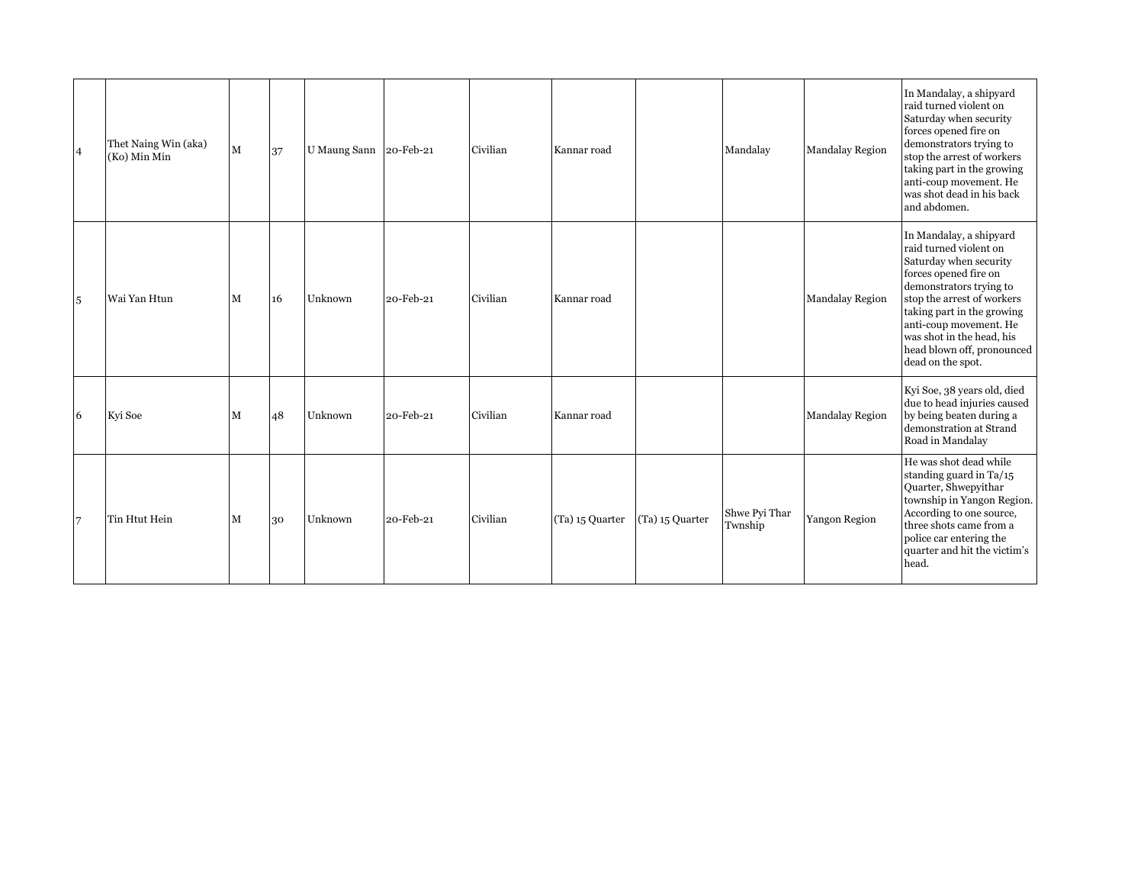| $\overline{4}$ | Thet Naing Win (aka)<br>(Ko) Min Min | M | 37 | U Maung Sann | 20-Feb-21 | Civilian | Kannar road     |                 | Mandalay                 | <b>Mandalay Region</b> | In Mandalay, a shipyard<br>raid turned violent on<br>Saturday when security<br>forces opened fire on<br>demonstrators trying to<br>stop the arrest of workers<br>taking part in the growing<br>anti-coup movement. He<br>was shot dead in his back<br>and abdomen.                                    |
|----------------|--------------------------------------|---|----|--------------|-----------|----------|-----------------|-----------------|--------------------------|------------------------|-------------------------------------------------------------------------------------------------------------------------------------------------------------------------------------------------------------------------------------------------------------------------------------------------------|
| 5              | Wai Yan Htun                         | M | 16 | Unknown      | 20-Feb-21 | Civilian | Kannar road     |                 |                          | Mandalay Region        | In Mandalay, a shipyard<br>raid turned violent on<br>Saturday when security<br>forces opened fire on<br>demonstrators trying to<br>stop the arrest of workers<br>taking part in the growing<br>anti-coup movement. He<br>was shot in the head, his<br>head blown off, pronounced<br>dead on the spot. |
| 6              | Kyi Soe                              | M | 48 | Unknown      | 20-Feb-21 | Civilian | Kannar road     |                 |                          | <b>Mandalay Region</b> | Kyi Soe, 38 years old, died<br>due to head injuries caused<br>by being beaten during a<br>demonstration at Strand<br>Road in Mandalay                                                                                                                                                                 |
| 7              | Tin Htut Hein                        | M | 30 | Unknown      | 20-Feb-21 | Civilian | (Ta) 15 Quarter | (Ta) 15 Quarter | Shwe Pyi Thar<br>Twnship | Yangon Region          | He was shot dead while<br>standing guard in $Ta/15$<br>Quarter, Shwepyithar<br>township in Yangon Region.<br>According to one source,<br>three shots came from a<br>police car entering the<br>quarter and hit the victim's<br>head.                                                                  |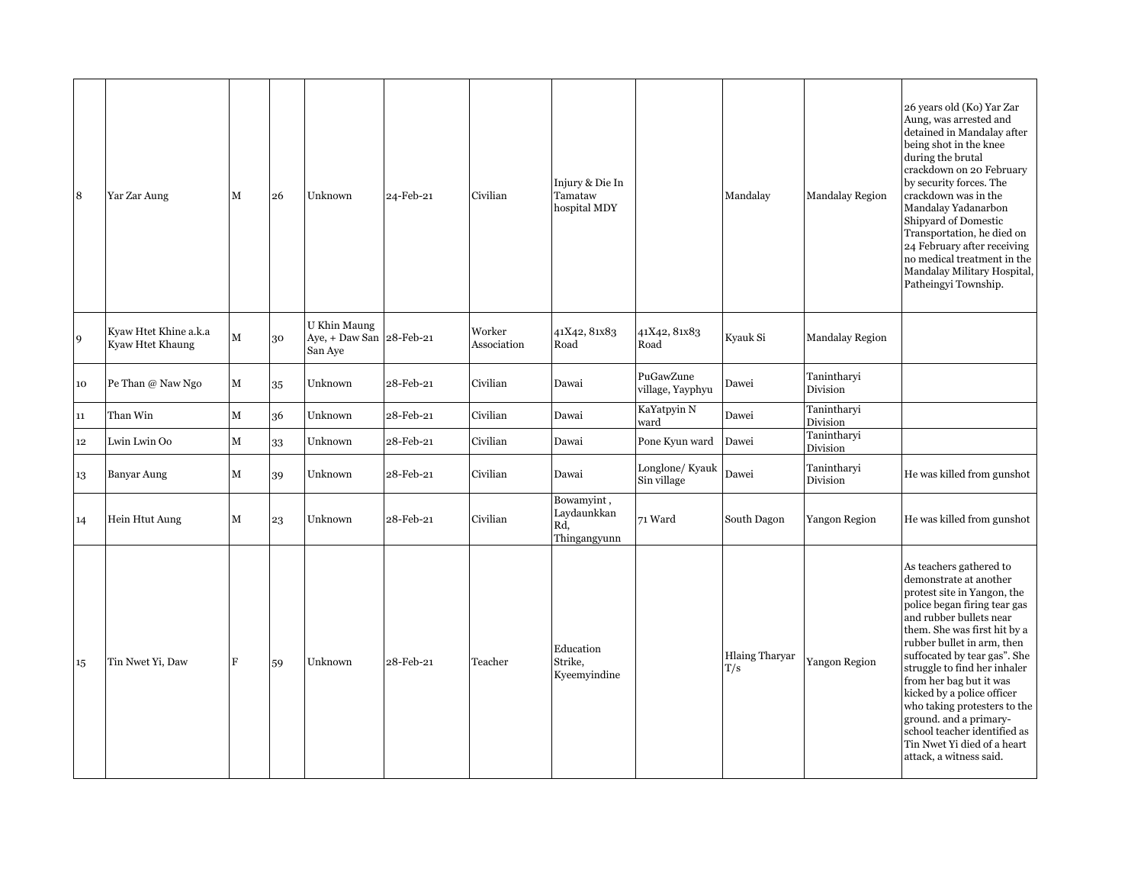| 8  | Yar Zar Aung                              | $\mathbf M$ | 26 | Unknown                                   | 24-Feb-21 | Civilian              | Injury & Die In<br>Tamataw<br>hospital MDY       |                               | Mandalay                     | <b>Mandalay Region</b>  | 26 years old (Ko) Yar Zar<br>Aung, was arrested and<br>detained in Mandalay after<br>being shot in the knee<br>during the brutal<br>crackdown on 20 February<br>by security forces. The<br>crackdown was in the<br>Mandalay Yadanarbon<br>Shipyard of Domestic<br>Transportation, he died on<br>24 February after receiving<br>no medical treatment in the<br>Mandalay Military Hospital,<br>Patheingyi Township.                                                                      |
|----|-------------------------------------------|-------------|----|-------------------------------------------|-----------|-----------------------|--------------------------------------------------|-------------------------------|------------------------------|-------------------------|----------------------------------------------------------------------------------------------------------------------------------------------------------------------------------------------------------------------------------------------------------------------------------------------------------------------------------------------------------------------------------------------------------------------------------------------------------------------------------------|
| 9  | Kyaw Htet Khine a.k.a<br>Kyaw Htet Khaung | м           | 30 | U Khin Maung<br>Aye, + Daw San<br>San Aye | 28-Feb-21 | Worker<br>Association | 41X42, 81x83<br>Road                             | 41X42, 81x83<br>Road          | Kyauk Si                     | Mandalay Region         |                                                                                                                                                                                                                                                                                                                                                                                                                                                                                        |
| 10 | Pe Than @ Naw Ngo                         | ${\bf M}$   | 35 | Unknown                                   | 28-Feb-21 | Civilian              | Dawai                                            | PuGawZune<br>village, Yayphyu | Dawei                        | Tanintharyi<br>Division |                                                                                                                                                                                                                                                                                                                                                                                                                                                                                        |
| 11 | Than Win                                  | M           | 36 | Unknown                                   | 28-Feb-21 | Civilian              | Dawai                                            | KaYatpyin N<br>ward           | Dawei                        | Tanintharyi<br>Division |                                                                                                                                                                                                                                                                                                                                                                                                                                                                                        |
| 12 | Lwin Lwin Oo                              | М           | 33 | Unknown                                   | 28-Feb-21 | Civilian              | Dawai                                            | Pone Kyun ward                | Dawei                        | Tanintharyi<br>Division |                                                                                                                                                                                                                                                                                                                                                                                                                                                                                        |
| 13 | Banyar Aung                               | М           | 39 | Unknown                                   | 28-Feb-21 | Civilian              | Dawai                                            | Longlone/Kyauk<br>Sin village | Dawei                        | Tanintharyi<br>Division | He was killed from gunshot                                                                                                                                                                                                                                                                                                                                                                                                                                                             |
| 14 | Hein Htut Aung                            | М           | 23 | Unknown                                   | 28-Feb-21 | Civilian              | Bowamyint,<br>Laydaunkkan<br>Rd,<br>Thingangyunn | 71 Ward                       | South Dagon                  | Yangon Region           | He was killed from gunshot                                                                                                                                                                                                                                                                                                                                                                                                                                                             |
| 15 | Tin Nwet Yi, Daw                          | F           | 59 | Unknown                                   | 28-Feb-21 | Teacher               | Education<br>Strike,<br>Kyeemyindine             |                               | <b>Hlaing Tharyar</b><br>T/s | Yangon Region           | As teachers gathered to<br>demonstrate at another<br>protest site in Yangon, the<br>police began firing tear gas<br>and rubber bullets near<br>them. She was first hit by a<br>rubber bullet in arm, then<br>suffocated by tear gas". She<br>struggle to find her inhaler<br>from her bag but it was<br>kicked by a police officer<br>who taking protesters to the<br>ground. and a primary-<br>school teacher identified as<br>Tin Nwet Yi died of a heart<br>attack, a witness said. |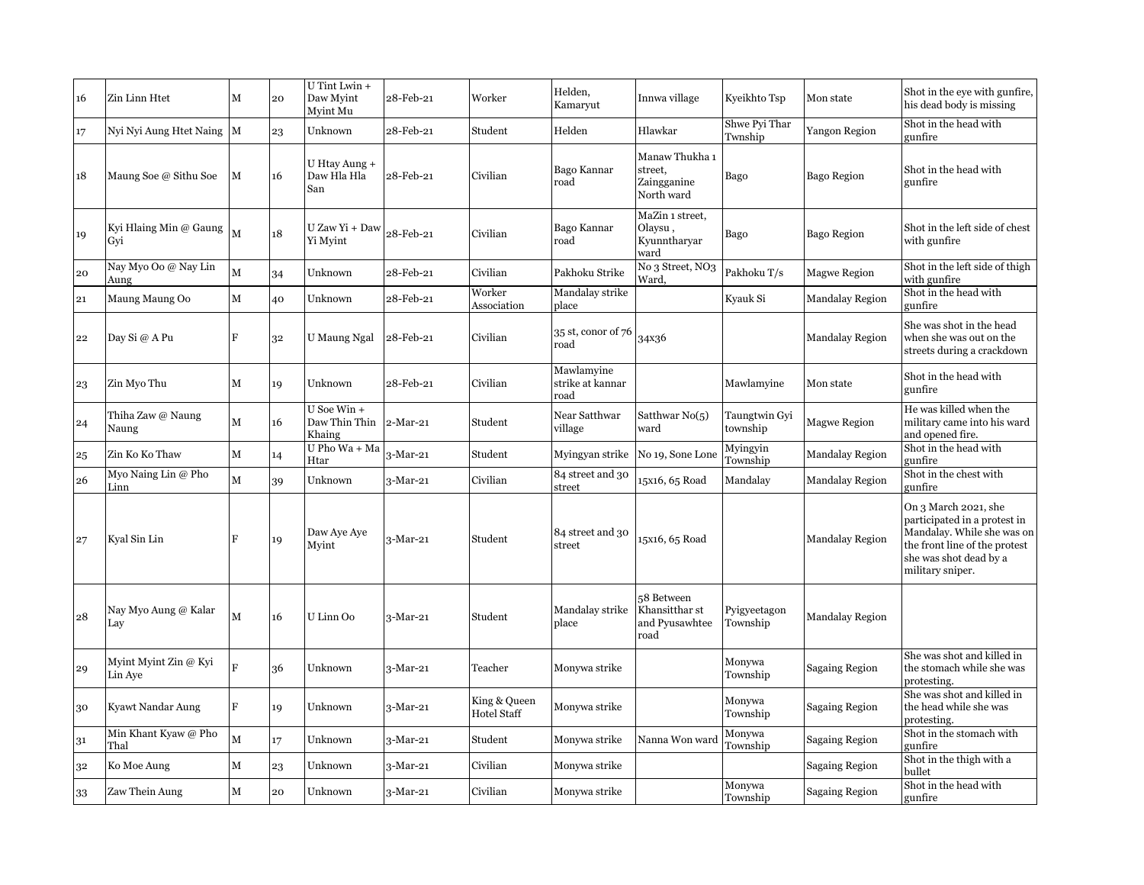| 16 | Zin Linn Htet                    | M            | 20 | U Tint Lwin +<br>Daw Myint<br>Myint Mu | 28-Feb-21  | Worker                             | Helden,<br>Kamaryut                    | Innwa village                                          | Kyeikhto Tsp              | Mon state              | Shot in the eye with gunfire,<br>his dead body is missing                                                                                                         |
|----|----------------------------------|--------------|----|----------------------------------------|------------|------------------------------------|----------------------------------------|--------------------------------------------------------|---------------------------|------------------------|-------------------------------------------------------------------------------------------------------------------------------------------------------------------|
| 17 | Nyi Nyi Aung Htet Naing M        |              | 23 | Unknown                                | 28-Feb-21  | Student                            | Helden                                 | Hlawkar                                                | Shwe Pyi Thar<br>Twnship  | Yangon Region          | Shot in the head with<br>gunfire                                                                                                                                  |
| 18 | Maung Soe @ Sithu Soe            | M            | 16 | U Htay Aung +<br>Daw Hla Hla<br>San    | 28-Feb-21  | Civilian                           | Bago Kannar<br>road                    | Manaw Thukha 1<br>street,<br>Zaingganine<br>North ward | Bago                      | Bago Region            | Shot in the head with<br>gunfire                                                                                                                                  |
| 19 | Kyi Hlaing Min @ Gaung<br>Gvi    | $\mathbf{M}$ | 18 | U Zaw Yi + Daw<br>Yi Myint             | 28-Feb-21  | Civilian                           | Bago Kannar<br>road                    | MaZin 1 street,<br>Olaysu,<br>Kyunntharyar<br>ward     | Bago                      | Bago Region            | Shot in the left side of chest<br>with gunfire                                                                                                                    |
| 20 | Nay Myo Oo @ Nay Lin<br>Aung     | M            | 34 | Unknown                                | 28-Feb-21  | Civilian                           | Pakhoku Strike                         | No 3 Street, NO3<br>Ward.                              | Pakhoku T/s               | <b>Magwe Region</b>    | Shot in the left side of thigh<br>with gunfire                                                                                                                    |
| 21 | Maung Maung Oo                   | $\mathbf M$  | 40 | Unknown                                | 28-Feb-21  | Worker<br>Association              | Mandalay strike<br>place               |                                                        | Kyauk Si                  | <b>Mandalay Region</b> | Shot in the head with<br>gunfire                                                                                                                                  |
| 22 | Day Si @ A Pu                    | F            | 32 | U Maung Ngal                           | 28-Feb-21  | Civilian                           | 35 st, conor of 76<br>road             | 34x36                                                  |                           | <b>Mandalay Region</b> | She was shot in the head<br>when she was out on the<br>streets during a crackdown                                                                                 |
| 23 | Zin Myo Thu                      | M            | 19 | Unknown                                | 28-Feb-21  | Civilian                           | Mawlamyine<br>strike at kannar<br>road |                                                        | Mawlamyine                | Mon state              | Shot in the head with<br>gunfire                                                                                                                                  |
| 24 | Thiha Zaw @ Naung<br>Naung       | $\mathbf M$  | 16 | U Soe Win +<br>Daw Thin Thin<br>Khaing | 2-Mar-21   | Student                            | Near Satthwar<br>village               | Satthwar $No(5)$<br>ward                               | Taungtwin Gyi<br>township | <b>Magwe Region</b>    | He was killed when the<br>military came into his ward<br>and opened fire.                                                                                         |
| 25 | Zin Ko Ko Thaw                   | $\mathbf M$  | 14 | U Pho Wa + Ma<br>Htar                  | 3-Mar-21   | Student                            | Myingyan strike                        | No 19, Sone Lone                                       | Myingyin<br>Township      | <b>Mandalay Region</b> | Shot in the head with<br>gunfire                                                                                                                                  |
| 26 | Myo Naing Lin $@$ Pho<br>Linn    | $\mathbf M$  | 39 | Unknown                                | $3-Mar-21$ | Civilian                           | 84 street and 30<br>street             | 15x16, 65 Road                                         | Mandalay                  | <b>Mandalay Region</b> | Shot in the chest with<br>gunfire                                                                                                                                 |
| 27 | Kyal Sin Lin                     | $\mathbf F$  | 19 | Daw Aye Aye<br>Mvint                   | 3-Mar-21   | Student                            | 84 street and 30<br>street             | 15x16, 65 Road                                         |                           | <b>Mandalay Region</b> | On 3 March 2021, she<br>participated in a protest in<br>Mandalay. While she was on<br>the front line of the protest<br>she was shot dead by a<br>military sniper. |
| 28 | Nay Myo Aung @ Kalar<br>Lay      | $\mathbf{M}$ | 16 | U Linn Oo                              | $3-Mar-21$ | Student                            | Mandalay strike<br>place               | 58 Between<br>Khansitthar st<br>and Pyusawhtee<br>road | Pyigyeetagon<br>Township  | <b>Mandalay Region</b> |                                                                                                                                                                   |
| 29 | Myint Myint Zin @ Kyi<br>Lin Aye | F            | 36 | Unknown                                | 3-Mar-21   | Teacher                            | Monywa strike                          |                                                        | Monywa<br>Township        | <b>Sagaing Region</b>  | She was shot and killed in<br>the stomach while she was<br>protesting.                                                                                            |
| 30 | Kyawt Nandar Aung                | $\mathbf F$  | 19 | Unknown                                | $3-Mar-21$ | King & Queen<br><b>Hotel Staff</b> | Monywa strike                          |                                                        | Monywa<br>Township        | <b>Sagaing Region</b>  | She was shot and killed in<br>the head while she was<br>protesting.                                                                                               |
| 31 | Min Khant Kyaw @ Pho<br>Thal     | $\mathbf{M}$ | 17 | Unknown                                | 3-Mar-21   | Student                            | Monywa strike                          | Nanna Won ward                                         | Monywa<br>Township        | Sagaing Region         | Shot in the stomach with<br>gunfire                                                                                                                               |
| 32 | Ko Moe Aung                      | M            | 23 | Unknown                                | 3-Mar-21   | Civilian                           | Monywa strike                          |                                                        |                           | <b>Sagaing Region</b>  | Shot in the thigh with a<br>bullet                                                                                                                                |
| 33 | Zaw Thein Aung                   | M            | 20 | Unknown                                | $3-Mar-21$ | Civilian                           | Monywa strike                          |                                                        | Monywa<br>Township        | <b>Sagaing Region</b>  | Shot in the head with<br>gunfire                                                                                                                                  |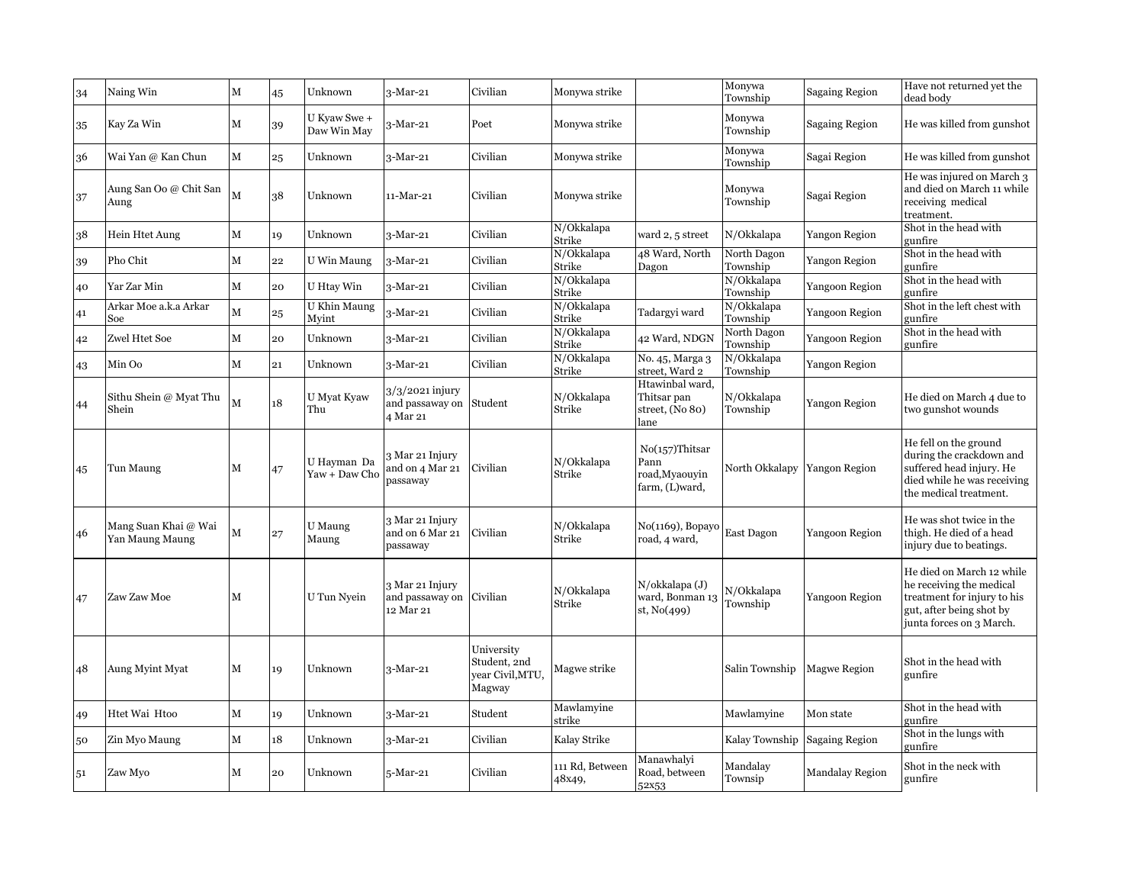| 34 | Naing Win                               | М | 45 | Unknown                      | 3-Mar-21                                        | Civilian                                                 | Monywa strike             |                                                               | Monywa<br>Township           | <b>Sagaing Region</b> | Have not returned yet the<br>dead body                                                                                                       |
|----|-----------------------------------------|---|----|------------------------------|-------------------------------------------------|----------------------------------------------------------|---------------------------|---------------------------------------------------------------|------------------------------|-----------------------|----------------------------------------------------------------------------------------------------------------------------------------------|
| 35 | Kay Za Win                              | М | 39 | U Kyaw Swe +<br>Daw Win May  | 3-Mar-21                                        | Poet                                                     | Monywa strike             |                                                               | Monywa<br>Township           | Sagaing Region        | He was killed from gunshot                                                                                                                   |
| 36 | Wai Yan @ Kan Chun                      | М | 25 | Unknown                      | 3-Mar-21                                        | Civilian                                                 | Monywa strike             |                                                               | Monywa<br>Township           | Sagai Region          | He was killed from gunshot                                                                                                                   |
| 37 | Aung San Oo @ Chit San<br>Aung          | М | 38 | Unknown                      | 11-Mar-21                                       | Civilian                                                 | Monywa strike             |                                                               | Monywa<br>Township           | Sagai Region          | He was injured on March 3<br>and died on March 11 while<br>receiving medical<br>treatment.                                                   |
| 38 | Hein Htet Aung                          | М | 19 | Unknown                      | $3-Mar-21$                                      | Civilian                                                 | N/Okkalapa<br>Strike      | ward 2, 5 street                                              | N/Okkalapa                   | Yangon Region         | Shot in the head with<br>gunfire                                                                                                             |
| 39 | Pho Chit                                | М | 22 | U Win Maung                  | 3-Mar-21                                        | Civilian                                                 | N/Okkalapa<br>Strike      | 48 Ward, North<br>Dagon                                       | North Dagon<br>Township      | Yangon Region         | Shot in the head with<br>gunfire                                                                                                             |
| 40 | Yar Zar Min                             | М | 20 | U Htay Win                   | 3-Mar-21                                        | Civilian                                                 | N/Okkalapa<br>Strike      |                                                               | N/Okkalapa<br>Township       | Yangoon Region        | Shot in the head with<br>gunfire                                                                                                             |
| 41 | Arkar Moe a.k.a Arkar<br>Soe            | M | 25 | U Khin Maung<br>Myint        | 3-Mar-21                                        | Civilian                                                 | N/Okkalapa<br>Strike      | Tadargyi ward                                                 | N/Okkalapa<br>Township       | Yangoon Region        | Shot in the left chest with<br>gunfire                                                                                                       |
| 42 | Zwel Htet Soe                           | М | 20 | Unknown                      | $3-Mar-21$                                      | Civilian                                                 | N/Okkalapa<br>Strike      | 42 Ward, NDGN                                                 | North Dagon<br>Township      | Yangoon Region        | Shot in the head with<br>gunfire                                                                                                             |
| 43 | Min Oo                                  | М | 21 | Unknown                      | 3-Mar-21                                        | Civilian                                                 | N/Okkalapa<br>Strike      | No. 45, Marga 3<br>street, Ward 2                             | N/Okkalapa<br>Township       | Yangon Region         |                                                                                                                                              |
| 44 | Sithu Shein @ Myat Thu<br>Shein         | M | 18 | U Myat Kyaw<br>Thu           | 3/3/2021 injury<br>and passaway on<br>4 Mar 21  | Student                                                  | N/Okkalapa<br>Strike      | Htawinbal ward.<br>Thitsar pan<br>street, (No 80)<br>lane     | N/Okkalapa<br>Township       | <b>Yangon Region</b>  | He died on March 4 due to<br>two gunshot wounds                                                                                              |
| 45 | Tun Maung                               | М | 47 | U Hayman Da<br>Yaw + Daw Cho | 3 Mar 21 Injury<br>and on 4 Mar 21<br>passaway  | Civilian                                                 | N/Okkalapa<br>Strike      | $No(157)$ Thitsar<br>Pann<br>road, Myaouvin<br>farm, (L)ward, | North Okkalapy Yangon Region |                       | He fell on the ground<br>during the crackdown and<br>suffered head injury. He<br>died while he was receiving<br>the medical treatment.       |
| 46 | Mang Suan Khai @ Wai<br>Yan Maung Maung | М | 27 | U Maung<br>Maung             | 3 Mar 21 Injury<br>and on 6 Mar 21<br>passaway  | Civilian                                                 | N/Okkalapa<br>Strike      | No(1169), Bopayo<br>road, 4 ward,                             | East Dagon                   | Yangoon Region        | He was shot twice in the<br>thigh. He died of a head<br>injury due to beatings.                                                              |
| 47 | Zaw Zaw Moe                             | М |    | U Tun Nyein                  | 3 Mar 21 Injury<br>and passaway on<br>12 Mar 21 | Civilian                                                 | N/Okkalapa<br>Strike      | $N$ /okkalapa $(J)$<br>ward, Bonman 13<br>st, $No(499)$       | N/Okkalapa<br>Township       | Yangoon Region        | He died on March 12 while<br>he receiving the medical<br>treatment for injury to his<br>gut, after being shot by<br>junta forces on 3 March. |
| 48 | Aung Myint Myat                         | М | 19 | Unknown                      | 3-Mar-21                                        | University<br>Student, 2nd<br>year Civil, MTU,<br>Magway | Magwe strike              |                                                               | Salin Township               | <b>Magwe Region</b>   | Shot in the head with<br>gunfire                                                                                                             |
| 49 | Htet Wai Htoo                           | М | 19 | Unknown                      | $3-Mar-21$                                      | Student                                                  | Mawlamyine<br>strike      |                                                               | Mawlamyine                   | Mon state             | Shot in the head with<br>gunfire                                                                                                             |
| 50 | Zin Myo Maung                           | М | 18 | Unknown                      | 3-Mar-21                                        | Civilian                                                 | Kalay Strike              |                                                               | Kalay Township               | Sagaing Region        | Shot in the lungs with<br>gunfire                                                                                                            |
| 51 | Zaw Myo                                 | м | 20 | Unknown                      | 5-Mar-21                                        | Civilian                                                 | 111 Rd, Between<br>48x49, | Manawhalyi<br>Road, between<br>52x53                          | Mandalay<br>Townsip          | Mandalay Region       | Shot in the neck with<br>gunfire                                                                                                             |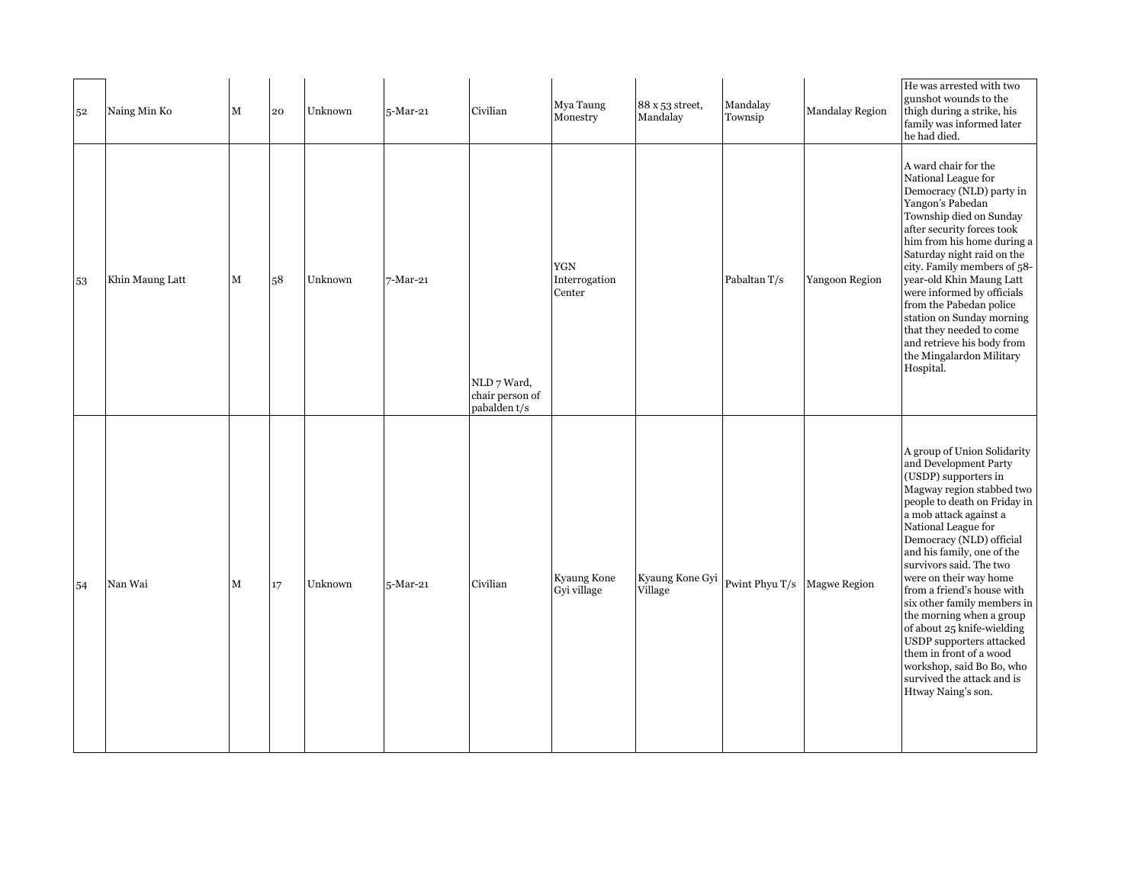|    | 52 | Naing Min Ko    | М | 20 | Unknown | 5-Mar-21 | Civilian                                       | Mya Taung<br>Monestry          | 88 x 53 street,<br>Mandalay | Mandalay<br>Townsip | <b>Mandalay Region</b> | He was arrested with two<br>gunshot wounds to the<br>thigh during a strike, his<br>family was informed later<br>he had died.                                                                                                                                                                                                                                                                                                                                                                                                                                             |
|----|----|-----------------|---|----|---------|----------|------------------------------------------------|--------------------------------|-----------------------------|---------------------|------------------------|--------------------------------------------------------------------------------------------------------------------------------------------------------------------------------------------------------------------------------------------------------------------------------------------------------------------------------------------------------------------------------------------------------------------------------------------------------------------------------------------------------------------------------------------------------------------------|
| 53 |    | Khin Maung Latt | М | 58 | Unknown | 7-Mar-21 | NLD 7 Ward,<br>chair person of<br>pabalden t/s | YGN<br>Interrogation<br>Center |                             | Pabaltan T/s        | Yangoon Region         | A ward chair for the<br>National League for<br>Democracy (NLD) party in<br>Yangon's Pabedan<br>Township died on Sunday<br>after security forces took<br>him from his home during a<br>Saturday night raid on the<br>city. Family members of 58-<br>year-old Khin Maung Latt<br>were informed by officials<br>from the Pabedan police<br>station on Sunday morning<br>that they needed to come<br>and retrieve his body from<br>the Mingalardon Military<br>Hospital.                                                                                                     |
| 54 |    | Nan Wai         | М | 17 | Unknown | 5-Mar-21 | Civilian                                       | Kyaung Kone<br>Gyi village     | Kyaung Kone Gyi<br>Village  | Pwint Phyu T/s      | <b>Magwe Region</b>    | A group of Union Solidarity<br>and Development Party<br>(USDP) supporters in<br>Magway region stabbed two<br>people to death on Friday in<br>a mob attack against a<br>National League for<br>Democracy (NLD) official<br>and his family, one of the<br>survivors said. The two<br>were on their way home<br>from a friend's house with<br>six other family members in<br>the morning when a group<br>of about 25 knife-wielding<br>USDP supporters attacked<br>them in front of a wood<br>workshop, said Bo Bo, who<br>survived the attack and is<br>Htway Naing's son. |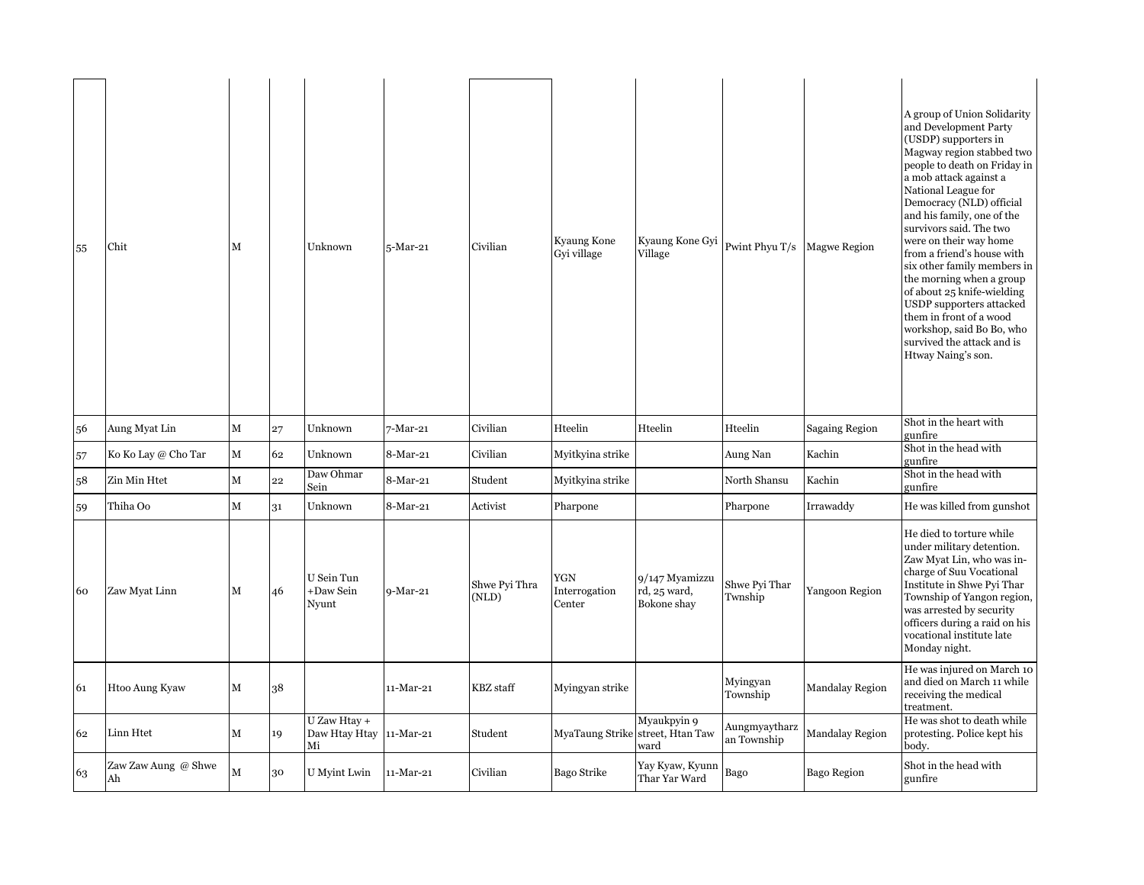| 55 | Chit                      | М           |    | Unknown                             | 5-Mar-21    | Civilian               | Kyaung Kone<br>Gyi village     | Kyaung Kone Gyi<br>Village                              | Pwint Phyu T/s               | <b>Magwe Region</b>    | A group of Union Solidarity<br>and Development Party<br>(USDP) supporters in<br>Magway region stabbed two<br>people to death on Friday in<br>a mob attack against a<br>National League for<br>Democracy (NLD) official<br>and his family, one of the<br>survivors said. The two<br>were on their way home<br>from a friend's house with<br>six other family members in<br>the morning when a group<br>of about 25 knife-wielding<br>USDP supporters attacked<br>them in front of a wood<br>workshop, said Bo Bo, who<br>survived the attack and is<br>Htway Naing's son. |
|----|---------------------------|-------------|----|-------------------------------------|-------------|------------------------|--------------------------------|---------------------------------------------------------|------------------------------|------------------------|--------------------------------------------------------------------------------------------------------------------------------------------------------------------------------------------------------------------------------------------------------------------------------------------------------------------------------------------------------------------------------------------------------------------------------------------------------------------------------------------------------------------------------------------------------------------------|
| 56 | Aung Myat Lin             | ${\bf M}$   | 27 | Unknown                             | 7-Mar-21    | Civilian               | Hteelin                        | Hteelin                                                 | Hteelin                      | <b>Sagaing Region</b>  | Shot in the heart with<br>gunfire                                                                                                                                                                                                                                                                                                                                                                                                                                                                                                                                        |
| 57 | Ko Ko Lay @ Cho Tar       | М           | 62 | Unknown                             | $8-Mar-21$  | Civilian               | Myitkyina strike               |                                                         | Aung Nan                     | Kachin                 | Shot in the head with<br>gunfire                                                                                                                                                                                                                                                                                                                                                                                                                                                                                                                                         |
| 58 | Zin Min Htet              | M           | 22 | Daw Ohmar<br>Sein                   | 8-Mar-21    | Student                | Myitkyina strike               |                                                         | North Shansu                 | Kachin                 | Shot in the head with<br>gunfire                                                                                                                                                                                                                                                                                                                                                                                                                                                                                                                                         |
| 59 | Thiha Oo                  | $\mathbf M$ | 31 | Unknown                             | 8-Mar-21    | Activist               | Pharpone                       |                                                         | Pharpone                     | Irrawaddy              | He was killed from gunshot                                                                                                                                                                                                                                                                                                                                                                                                                                                                                                                                               |
| 60 | Zaw Myat Linn             | М           | 46 | U Sein Tun<br>+Daw Sein<br>Nyunt    | 9-Mar-21    | Shwe Pyi Thra<br>(NLD) | YGN<br>Interrogation<br>Center | 9/147 Myamizzu<br>rd, 25 ward,<br>Bokone shay           | Shwe Pyi Thar<br>Twnship     | Yangoon Region         | He died to torture while<br>under military detention.<br>Zaw Myat Lin, who was in-<br>charge of Suu Vocational<br>Institute in Shwe Pyi Thar<br>Township of Yangon region,<br>was arrested by security<br>officers during a raid on his<br>vocational institute late<br>Monday night.                                                                                                                                                                                                                                                                                    |
| 61 | Htoo Aung Kyaw            | M           | 38 |                                     | 11-Mar-21   | <b>KBZ</b> staff       | Myingyan strike                |                                                         | Myingyan<br>Township         | <b>Mandalay Region</b> | He was injured on March 10<br>and died on March 11 while<br>receiving the medical<br>treatment.                                                                                                                                                                                                                                                                                                                                                                                                                                                                          |
| 62 | Linn Htet                 | М           | 19 | U Zaw Htay +<br>Daw Htay Htay<br>Мi | $11-Mar-21$ | Student                |                                | Myaukpyin 9<br>MyaTaung Strike street, Htan Taw<br>ward | Aungmyaytharz<br>an Township | <b>Mandalay Region</b> | He was shot to death while<br>protesting. Police kept his<br>body.                                                                                                                                                                                                                                                                                                                                                                                                                                                                                                       |
| 63 | Zaw Zaw Aung @ Shwe<br>Ah | М           | 30 | U Myint Lwin                        | 11-Mar-21   | Civilian               | Bago Strike                    | Yay Kyaw, Kyunn<br>Thar Yar Ward                        | Bago                         | Bago Region            | Shot in the head with<br>gunfire                                                                                                                                                                                                                                                                                                                                                                                                                                                                                                                                         |